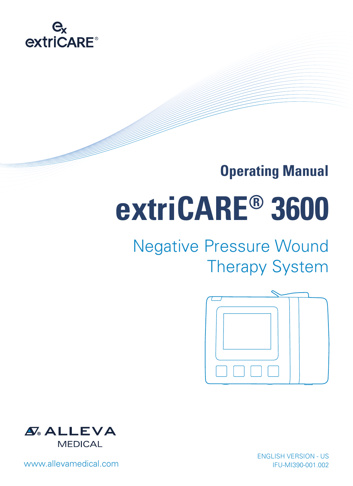

# **Operating Manual**

# **extriCARE® 3600**

# Negative Pressure Wound Therapy System





ENGLISH VERSION - US

www.allevamedical.com in the state of the state of the state of the state of the state of the state of the state of the state of the state of the state of the state of the state of the state of the state of the state of th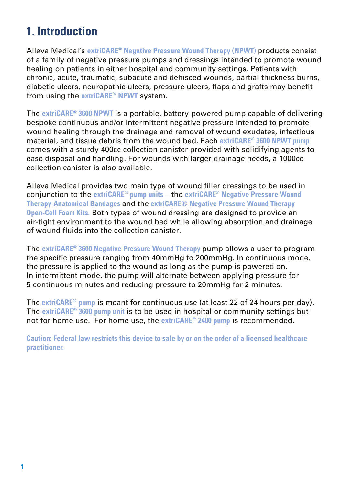## **1. Introduction**

Alleva Medical's **extriCARE® Negative Pressure Wound Therapy (NPWT)** products consist of a family of negative pressure pumps and dressings intended to promote wound healing on patients in either hospital and community settings. Patients with chronic, acute, traumatic, subacute and dehisced wounds, partial-thickness burns, diabetic ulcers, neuropathic ulcers, pressure ulcers, flaps and grafts may benefit from using the **extriCARE® NPWT** system.

The **extriCARE® 3600 NPWT** is a portable, battery-powered pump capable of delivering bespoke continuous and/or intermittent negative pressure intended to promote wound healing through the drainage and removal of wound exudates, infectious material, and tissue debris from the wound bed. Each **extriCARE® 3600 NPWT pump** comes with a sturdy 400cc collection canister provided with solidifying agents to ease disposal and handling. For wounds with larger drainage needs, a 1000cc collection canister is also available.

Alleva Medical provides two main type of wound filler dressings to be used in conjunction to the **extriCARE® pump units** – the **extriCARE® Negative Pressure Wound Therapy Anatomical Bandages** and the **extriCARE® Negative Pressure Wound Therapy Open-Cell Foam Kits.** Both types of wound dressing are designed to provide an air-tight environment to the wound bed while allowing absorption and drainage of wound fluids into the collection canister.

The **extriCARE® 3600 Negative Pressure Wound Therapy** pump allows a user to program the specific pressure ranging from 40mmHg to 200mmHg. In continuous mode, the pressure is applied to the wound as long as the pump is powered on. In intermittent mode, the pump will alternate between applying pressure for 5 continuous minutes and reducing pressure to 20mmHg for 2 minutes.

The **extriCARE® pump** is meant for continuous use (at least 22 of 24 hours per day). The **extriCARE® 3600 pump unit** is to be used in hospital or community settings but not for home use. For home use, the **extriCARE® 2400 pump** is recommended.

**Caution: Federal law restricts this device to sale by or on the order of a licensed healthcare practitioner.**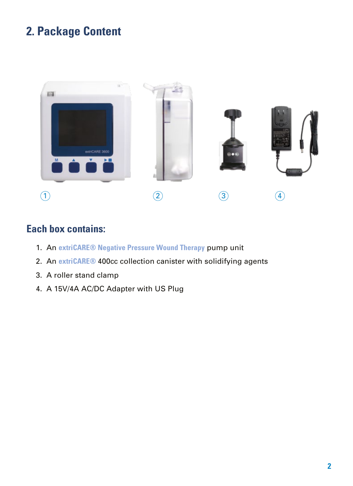## **2. Package Content**



#### **Each box contains:**

- 1. An **extriCARE® Negative Pressure Wound Therapy** pump unit
- 2. An **extriCARE®** 400cc collection canister with solidifying agents
- 3. A roller stand clamp
- 4. A 15V/4A AC/DC Adapter with US Plug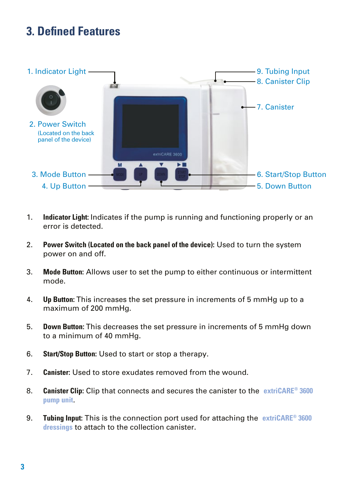## **3. Defined Features**



- 1. **Indicator Light:** Indicates if the pump is running and functioning properly or an error is detected.
- 2. **Power Switch (Located on the back panel of the device):** Used to turn the system power on and off.
- 3. **Mode Button:** Allows user to set the pump to either continuous or intermittent mode.
- 4. **Up Button:** This increases the set pressure in increments of 5 mmHg up to a maximum of 200 mmHg.
- 5. **Down Button:** This decreases the set pressure in increments of 5 mmHg down to a minimum of 40 mmHg.
- 6. **Start/Stop Button:** Used to start or stop a therapy.
- 7. **Canister:** Used to store exudates removed from the wound.
- 8. **Canister Clip:** Clip that connects and secures the canister to the **extriCARE® 3600 pump unit**.
- 9. **Tubing Input:** This is the connection port used for attaching the **extriCARE® 3600 dressings** to attach to the collection canister.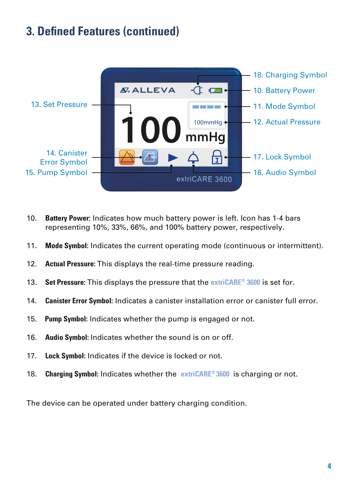## **3. Defined Features (continued)**



- 10. **Battery Power:** Indicates how much battery power is left. Icon has 1-4 bars representing 10%, 33%, 66%, and 100% battery power, respectively.
- 11. **Mode Symbol:** Indicates the current operating mode (continuous or intermittent).
- 12. **Actual Pressure:** This displays the real-time pressure reading.
- 13. **Set Pressure:** This displays the pressure that the **extriCARE® 3600** is set for.
- 14. **Canister Error Symbol:** Indicates a canister installation error or canister full error.
- 15. **Pump Symbol:** Indicates whether the pump is engaged or not.
- 16. **Audio Symbol:** Indicates whether the sound is on or off.
- 17. **Lock Symbol:** Indicates if the device is locked or not.
- 18. **Charging Symbol:** Indicates whether the **extriCARE® 3600** is charging or not.

The device can be operated under battery charging condition.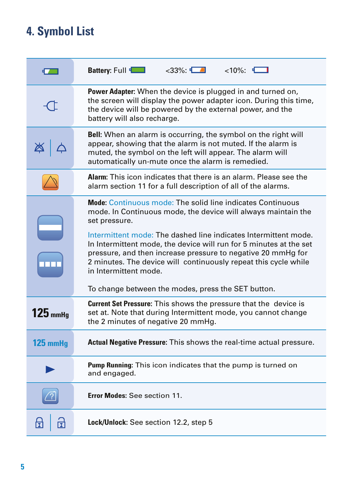# **4. Symbol List**

|                       | $\leq$ 33%: $\blacksquare$ $\leq$ 10%: $\blacksquare$<br><b>Battery: Full designation</b>                                                                                                                                                                                                                                                                                                                                                                                                                      |  |  |  |  |
|-----------------------|----------------------------------------------------------------------------------------------------------------------------------------------------------------------------------------------------------------------------------------------------------------------------------------------------------------------------------------------------------------------------------------------------------------------------------------------------------------------------------------------------------------|--|--|--|--|
|                       | <b>Power Adapter:</b> When the device is plugged in and turned on,<br>the screen will display the power adapter icon. During this time,<br>the device will be powered by the external power, and the<br>battery will also recharge.                                                                                                                                                                                                                                                                            |  |  |  |  |
|                       | <b>Bell:</b> When an alarm is occurring, the symbol on the right will<br>appear, showing that the alarm is not muted. If the alarm is<br>muted, the symbol on the left will appear. The alarm will<br>automatically un-mute once the alarm is remedied.                                                                                                                                                                                                                                                        |  |  |  |  |
|                       | <b>Alarm:</b> This icon indicates that there is an alarm. Please see the<br>alarm section 11 for a full description of all of the alarms.                                                                                                                                                                                                                                                                                                                                                                      |  |  |  |  |
|                       | <b>Mode:</b> Continuous mode: The solid line indicates Continuous<br>mode. In Continuous mode, the device will always maintain the<br>set pressure.<br>Intermittent mode: The dashed line indicates Intermittent mode.<br>In Intermittent mode, the device will run for 5 minutes at the set<br>pressure, and then increase pressure to negative 20 mmHg for<br>2 minutes. The device will continuously repeat this cycle while<br>in Intermittent mode.<br>To change between the modes, press the SET button. |  |  |  |  |
| $125$ <sub>mmHg</sub> | <b>Current Set Pressure:</b> This shows the pressure that the device is<br>set at. Note that during Intermittent mode, you cannot change<br>the 2 minutes of negative 20 mmHg.                                                                                                                                                                                                                                                                                                                                 |  |  |  |  |
| $125$ mmHg            | <b>Actual Negative Pressure:</b> This shows the real-time actual pressure.                                                                                                                                                                                                                                                                                                                                                                                                                                     |  |  |  |  |
|                       | <b>Pump Running:</b> This icon indicates that the pump is turned on<br>and engaged.                                                                                                                                                                                                                                                                                                                                                                                                                            |  |  |  |  |
|                       | <b>Error Modes: See section 11.</b>                                                                                                                                                                                                                                                                                                                                                                                                                                                                            |  |  |  |  |
| П                     | Lock/Unlock: See section 12.2, step 5                                                                                                                                                                                                                                                                                                                                                                                                                                                                          |  |  |  |  |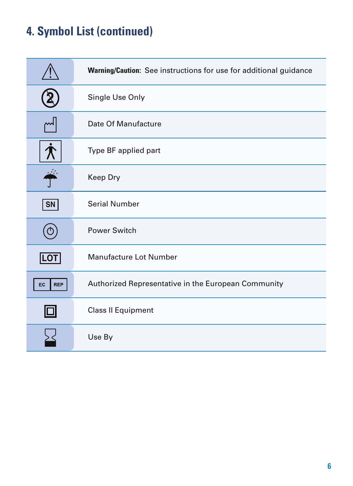# **4. Symbol List (continued)**

|                            | Warning/Caution: See instructions for use for additional guidance |
|----------------------------|-------------------------------------------------------------------|
|                            | Single Use Only                                                   |
| اسم                        | Date Of Manufacture                                               |
| $\boldsymbol{\mathcal{R}}$ | Type BF applied part                                              |
|                            | <b>Keep Dry</b>                                                   |
| SN                         | <b>Serial Number</b>                                              |
|                            | Power Switch                                                      |
| <b>LOT</b>                 | Manufacture Lot Number                                            |
| EC<br><b>REP</b>           | Authorized Representative in the European Community               |
| 回                          | <b>Class II Equipment</b>                                         |
|                            | Use By                                                            |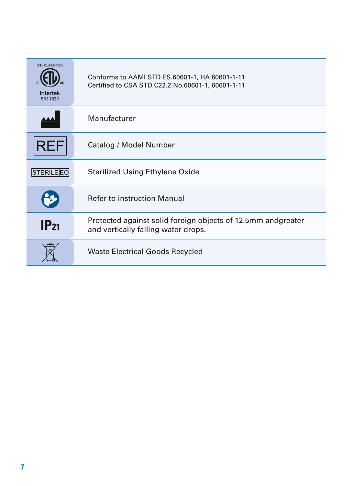| <b>FTI CLASSIFIED</b><br><b>Intertek</b><br>5011631 | Conforms to AAMI STD ES.60601-1, HA 60601-1-11<br>Certified to CSA STD C22.2 No.60601-1, 60601-1-11 |
|-----------------------------------------------------|-----------------------------------------------------------------------------------------------------|
|                                                     | Manufacturer                                                                                        |
| <b>REF</b>                                          | Catalog / Model Number                                                                              |
| STERILEEO                                           | Sterilized Using Ethylene Oxide                                                                     |
|                                                     | <b>Refer to instruction Manual</b>                                                                  |
| $IP_{21}$                                           | Protected against solid foreign objects of 12.5mm andgreater<br>and vertically falling water drops. |
|                                                     | <b>Waste Electrical Goods Recycled</b>                                                              |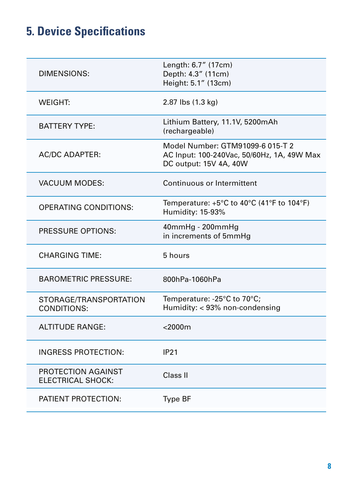# **5. Device Specifications**

| DIMENSIONS:                                    | Length: 6.7" (17cm)<br>Depth: 4.3" (11cm)<br>Height: 5.1" (13cm)                                         |
|------------------------------------------------|----------------------------------------------------------------------------------------------------------|
| <b>WEIGHT:</b>                                 | 2.87 lbs (1.3 kg)                                                                                        |
| <b>BATTERY TYPE:</b>                           | Lithium Battery, 11.1V, 5200mAh<br>(rechargeable)                                                        |
| <b>AC/DC ADAPTER:</b>                          | Model Number: GTM91099-6 015-T 2<br>AC Input: 100-240Vac, 50/60Hz, 1A, 49W Max<br>DC output: 15V 4A, 40W |
| VACUUM MODES:                                  | Continuous or Intermittent                                                                               |
| OPERATING CONDITIONS:                          | Temperature: $+5^{\circ}$ C to 40 $^{\circ}$ C (41 $^{\circ}$ F to 104 $^{\circ}$ F)<br>Humidity: 15-93% |
| PRESSURE OPTIONS:                              | 40mmHg - 200mmHg<br>in increments of 5mmHg                                                               |
| CHARGING TIME:                                 | 5 hours                                                                                                  |
| <b>BAROMETRIC PRESSURE:</b>                    | 800hPa-1060hPa                                                                                           |
| STORAGE/TRANSPORTATION<br>CONDITIONS:          | Temperature: -25°C to 70°C;<br>Humidity: < 93% non-condensing                                            |
| ALTITUDE RANGE:                                | $<$ 2000 $m$                                                                                             |
| <b>INGRESS PROTECTION:</b>                     | <b>IP21</b>                                                                                              |
| PROTECTION AGAINST<br><b>ELECTRICAL SHOCK:</b> | Class II                                                                                                 |
| PATIENT PROTECTION:                            | <b>Type BF</b>                                                                                           |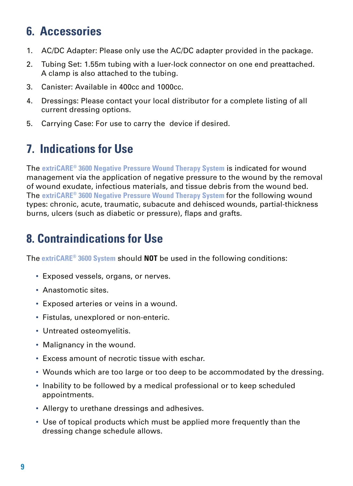## **6. Accessories**

- 1. AC/DC Adapter: Please only use the AC/DC adapter provided in the package.
- 2. Tubing Set: 1.55m tubing with a luer-lock connector on one end preattached. A clamp is also attached to the tubing.
- 3. Canister: Available in 400cc and 1000cc.
- 4. Dressings: Please contact your local distributor for a complete listing of all current dressing options.
- 5. Carrying Case: For use to carry the device if desired.

## **7. Indications for Use**

The **extriCARE® 3600 Negative Pressure Wound Therapy System** is indicated for wound management via the application of negative pressure to the wound by the removal of wound exudate, infectious materials, and tissue debris from the wound bed. The **extriCARE® 3600 Negative Pressure Wound Therapy System** for the following wound types: chronic, acute, traumatic, subacute and dehisced wounds, partial-thickness burns, ulcers (such as diabetic or pressure), flaps and grafts.

## **8. Contraindications for Use**

The **extriCARE® 3600 System** should **NOT** be used in the following conditions:

- Exposed vessels, organs, or nerves.
- Anastomotic sites.
- Exposed arteries or veins in a wound.
- Fistulas, unexplored or non-enteric.
- Untreated osteomyelitis.
- Malignancy in the wound.
- Excess amount of necrotic tissue with eschar.
- Wounds which are too large or too deep to be accommodated by the dressing.
- Inability to be followed by a medical professional or to keep scheduled appointments.
- Allergy to urethane dressings and adhesives.
- Use of topical products which must be applied more frequently than the dressing change schedule allows.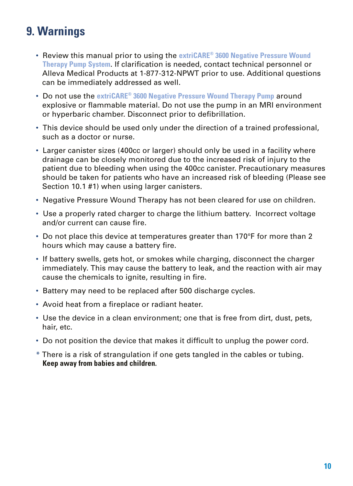## **9. Warnings**

- Review this manual prior to using the **extriCARE® 3600 Negative Pressure Wound Therapy Pump System**. If clarification is needed, contact technical personnel or Alleva Medical Products at 1-877-312-NPWT prior to use. Additional questions can be immediately addressed as well.
- Do not use the **extriCARE® 3600 Negative Pressure Wound Therapy Pump** around explosive or flammable material. Do not use the pump in an MRI environment or hyperbaric chamber. Disconnect prior to defibrillation.
- This device should be used only under the direction of a trained professional, such as a doctor or nurse.
- Larger canister sizes (400cc or larger) should only be used in a facility where drainage can be closely monitored due to the increased risk of injury to the patient due to bleeding when using the 400cc canister. Precautionary measures should be taken for patients who have an increased risk of bleeding (Please see Section 10.1 #1) when using larger canisters.
- Negative Pressure Wound Therapy has not been cleared for use on children.
- Use a properly rated charger to charge the lithium battery. Incorrect voltage and/or current can cause fire.
- Do not place this device at temperatures greater than 170°F for more than 2 hours which may cause a battery fire.
- If battery swells, gets hot, or smokes while charging, disconnect the charger immediately. This may cause the battery to leak, and the reaction with air may cause the chemicals to ignite, resulting in fire.
- Battery may need to be replaced after 500 discharge cycles.
- Avoid heat from a fireplace or radiant heater.
- Use the device in a clean environment; one that is free from dirt, dust, pets, hair, etc.
- Do not position the device that makes it difficult to unplug the power cord.
- \* There is a risk of strangulation if one gets tangled in the cables or tubing.  **Keep away from babies and children.**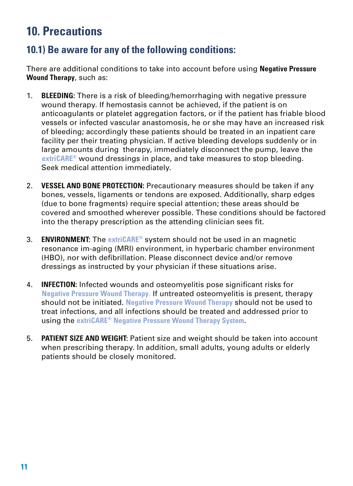## **10. Precautions**

#### **10.1) Be aware for any of the following conditions:**

There are additional conditions to take into account before using **Negative Pressure Wound Therapy**, such as:

- 1. **BLEEDING:** There is a risk of bleeding/hemorrhaging with negative pressure wound therapy. If hemostasis cannot be achieved, if the patient is on anticoagulants or platelet aggregation factors, or if the patient has friable blood vessels or infected vascular anastomosis, he or she may have an increased risk of bleeding; accordingly these patients should be treated in an inpatient care facility per their treating physician. If active bleeding develops suddenly or in large amounts during therapy, immediately disconnect the pump, leave the  **extriCARE®** wound dressings in place, and take measures to stop bleeding. Seek medical attention immediately.
- 2. **VESSEL AND BONE PROTECTION:** Precautionary measures should be taken if any bones, vessels, ligaments or tendons are exposed. Additionally, sharp edges (due to bone fragments) require special attention; these areas should be covered and smoothed wherever possible. These conditions should be factored into the therapy prescription as the attending clinician sees fit.
- 3. **ENVIRONMENT:** The **extriCARE®** system should not be used in an magnetic resonance im-aging (MRI) environment, in hyperbaric chamber environment (HBO), nor with defibrillation. Please disconnect device and/or remove dressings as instructed by your physician if these situations arise.
- 4. **INFECTION:** Infected wounds and osteomyelitis pose significant risks for  **Negative Pressure Wound Therapy**. If untreated osteomyelitis is present, therapy should not be initiated. **Negative Pressure Wound Therapy** should not be used to treat infections, and all infections should be treated and addressed prior to using the **extriCARE® Negative Pressure Wound Therapy System**.
- 5. **PATIENT SIZE AND WEIGHT:** Patient size and weight should be taken into account when prescribing therapy. In addition, small adults, young adults or elderly patients should be closely monitored.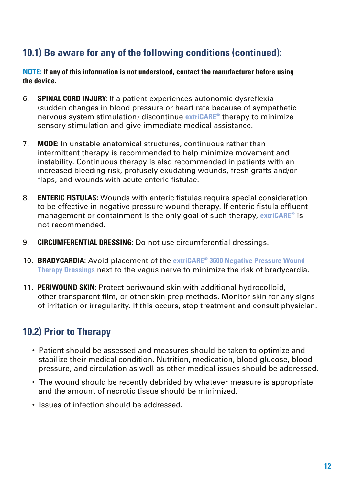### **10.1) Be aware for any of the following conditions (continued):**

**NOTE: If any of this information is not understood, contact the manufacturer before using the device.**

- 6. **SPINAL CORD INJURY:** If a patient experiences autonomic dysreflexia (sudden changes in blood pressure or heart rate because of sympathetic nervous system stimulation) discontinue **extriCARE®** therapy to minimize sensory stimulation and give immediate medical assistance.
- 7. **MODE:** In unstable anatomical structures, continuous rather than intermittent therapy is recommended to help minimize movement and instability. Continuous therapy is also recommended in patients with an increased bleeding risk, profusely exudating wounds, fresh grafts and/or flaps, and wounds with acute enteric fistulae.
- 8. **ENTERIC FISTULAS:** Wounds with enteric fistulas require special consideration to be effective in negative pressure wound therapy. If enteric fistula effluent management or containment is the only goal of such therapy, **extriCARE®** is not recommended.
- 9. **CIRCUMFERENTIAL DRESSING:** Do not use circumferential dressings.
- 10. **BRADYCARDIA:** Avoid placement of the **extriCARE® 3600 Negative Pressure Wound Therapy Dressings** next to the vagus nerve to minimize the risk of bradycardia.
- 11. **PERIWOUND SKIN:** Protect periwound skin with additional hydrocolloid, other transparent film, or other skin prep methods. Monitor skin for any signs of irritation or irregularity. If this occurs, stop treatment and consult physician.

#### **10.2) Prior to Therapy**

- Patient should be assessed and measures should be taken to optimize and stabilize their medical condition. Nutrition, medication, blood glucose, blood pressure, and circulation as well as other medical issues should be addressed.
- The wound should be recently debrided by whatever measure is appropriate and the amount of necrotic tissue should be minimized.
- Issues of infection should be addressed.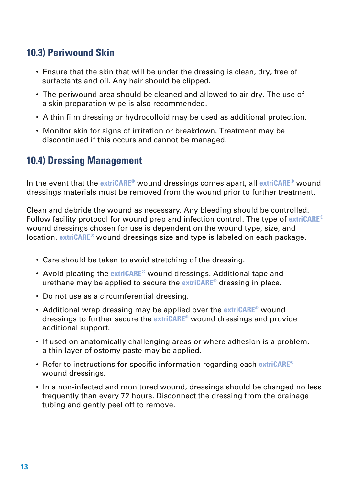#### **10.3) Periwound Skin**

- Ensure that the skin that will be under the dressing is clean, dry, free of surfactants and oil. Any hair should be clipped.
- The periwound area should be cleaned and allowed to air dry. The use of a skin preparation wipe is also recommended.
- A thin film dressing or hydrocolloid may be used as additional protection.
- Monitor skin for signs of irritation or breakdown. Treatment may be discontinued if this occurs and cannot be managed.

#### **10.4) Dressing Management**

In the event that the **extriCARE®** wound dressings comes apart, all **extriCARE®** wound dressings materials must be removed from the wound prior to further treatment.

Clean and debride the wound as necessary. Any bleeding should be controlled. Follow facility protocol for wound prep and infection control. The type of **extriCARE®** wound dressings chosen for use is dependent on the wound type, size, and location. **extriCARE®** wound dressings size and type is labeled on each package.

- Care should be taken to avoid stretching of the dressing.
- Avoid pleating the **extriCARE®** wound dressings. Additional tape and urethane may be applied to secure the **extriCARE®** dressing in place.
- Do not use as a circumferential dressing.
- Additional wrap dressing may be applied over the **extriCARE®** wound dressings to further secure the **extriCARE®** wound dressings and provide additional support.
- If used on anatomically challenging areas or where adhesion is a problem, a thin layer of ostomy paste may be applied.
- Refer to instructions for specific information regarding each **extriCARE®** wound dressings.
- In a non-infected and monitored wound, dressings should be changed no less frequently than every 72 hours. Disconnect the dressing from the drainage tubing and gently peel off to remove.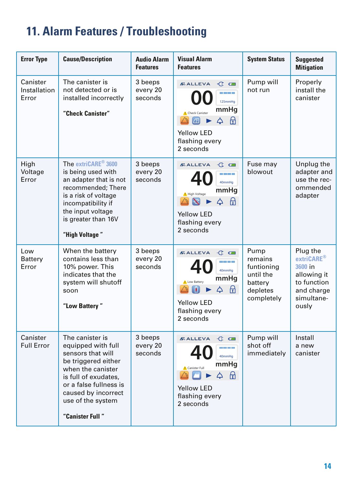# **11. Alarm Features / Troubleshooting**

| <b>Error Type</b>                 | <b>Cause/Description</b>                                                                                                                                                                                                | <b>Audio Alarm</b><br><b>Features</b> | <b>Visual Alarm</b><br><b>Features</b>                                                                                                                                 | <b>System Status</b>                                                            | <b>Suggested</b><br><b>Mitigation</b>                                                                            |
|-----------------------------------|-------------------------------------------------------------------------------------------------------------------------------------------------------------------------------------------------------------------------|---------------------------------------|------------------------------------------------------------------------------------------------------------------------------------------------------------------------|---------------------------------------------------------------------------------|------------------------------------------------------------------------------------------------------------------|
| Canister<br>Installation<br>Error | The canister is<br>not detected or is<br>installed incorrectly<br>"Check Canister"                                                                                                                                      | 3 beeps<br>every 20<br>seconds        | <b><i>N</i></b> ALLEVA<br>$\tau =$<br>----<br>125mmHq<br>mmHq<br><b>A</b> Check Canister<br>A<br>Δ<br>Yellow LED<br>flashing every<br>2 seconds                        | Pump will<br>not run                                                            | Properly<br>install the<br>canister                                                                              |
| High<br>Voltage<br>Error          | The extriCARE <sup>®</sup> 3600<br>is being used with<br>an adapter that is not<br>recommended: There<br>is a risk of voltage<br>incompatibility if<br>the input voltage<br>is greater than 16V<br>"High Voltage"       | 3 beeps<br>every 20<br>seconds        | $+1$<br><b><i>A</i></b> ALLEVA<br><b>CONTRACT</b><br>40mmHa<br>mmHq<br>High Voltage<br>Æ<br>N<br>△<br><b>Yellow LED</b><br>flashing every<br>2 seconds                 | Fuse may<br>blowout                                                             | Unplug the<br>adapter and<br>use the rec-<br>ommended<br>adapter                                                 |
| Low<br>Battery<br>Error           | When the battery<br>contains less than<br>10% power. This<br>indicates that the<br>system will shutoff<br>soon<br>"Low Battery"                                                                                         | 3 beeps<br>every 20<br>seconds        | <b><i>N</i></b> ALLEVA<br>$\tau$<br><b>The Co</b><br>40mmHq<br>mmHq<br>A Low Battery<br>品<br>△<br><b>Yellow LED</b><br>flashing every<br>2 seconds                     | Pump<br>remains<br>funtioning<br>until the<br>battery<br>depletes<br>completely | Plug the<br>extriCARE <sup>®</sup><br>3600 in<br>allowing it<br>to function<br>and charge<br>simultane-<br>ously |
| Canister<br><b>Full Error</b>     | The canister is<br>equipped with full<br>sensors that will<br>be triggered either<br>when the canister<br>is full of exudates.<br>or a false fullness is<br>caused by incorrect<br>use of the system<br>"Canister Full" | 3 beeps<br>every 20<br>seconds        | <b><i>A</i></b> ALLEVA<br>$\triangle$ $\blacksquare$<br><b>The Co</b><br>40mmHq<br>mmHg<br>Canister Full<br>品<br>△<br><b>Yellow LED</b><br>flashing every<br>2 seconds | Pump will<br>shot off<br>immediately                                            | Install<br>a new<br>canister                                                                                     |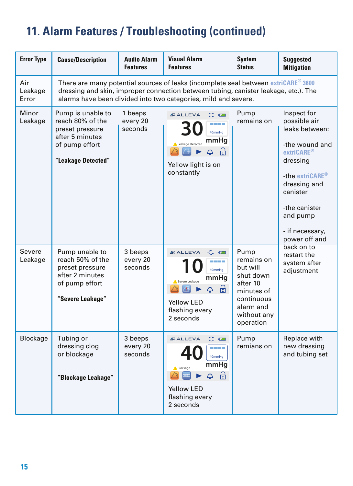# **11. Alarm Features / Troubleshooting (continued)**

| <b>Error Type</b>       | <b>Cause/Description</b>                                                                                                                                                                                                                    | <b>Audio Alarm</b><br><b>Features</b> | <b>Visual Alarm</b><br><b>Features</b>                                                                                                                                  | <b>System</b><br><b>Status</b>                                                                                               | <b>Suggested</b><br><b>Mitigation</b>                                                                                                                                                                                             |  |
|-------------------------|---------------------------------------------------------------------------------------------------------------------------------------------------------------------------------------------------------------------------------------------|---------------------------------------|-------------------------------------------------------------------------------------------------------------------------------------------------------------------------|------------------------------------------------------------------------------------------------------------------------------|-----------------------------------------------------------------------------------------------------------------------------------------------------------------------------------------------------------------------------------|--|
| Air<br>Leakage<br>Error | There are many potential sources of leaks (incomplete seal between extriCARE® 3600<br>dressing and skin, improper connection between tubing, canister leakage, etc.). The<br>alarms have been divided into two categories, mild and severe. |                                       |                                                                                                                                                                         |                                                                                                                              |                                                                                                                                                                                                                                   |  |
| Minor<br>Leakage        | Pump is unable to<br>reach 80% of the<br>preset pressure<br>after 5 minutes<br>of pump effort<br>"Leakage Detected"                                                                                                                         | 1 beeps<br>every 20<br>seconds        | $\mathcal{A}$ . ALLEVA $\mathcal{A}$<br>----<br>40mmHa<br>mmHg<br>Leakage Detected<br>ਜ਼ਿ<br>Δ<br>Yellow light is on<br>constantly                                      | Pump<br>remains on                                                                                                           | Inspect for<br>possible air<br>leaks between:<br>-the wound and<br>extriCARE <sup>®</sup><br>dressing<br>-the extriCARE <sup>®</sup><br>dressing and<br>canister<br>-the canister<br>and pump<br>- if necessary,<br>power off and |  |
| Severe<br>Leakage       | Pump unable to<br>reach 50% of the<br>preset pressure<br>after 2 minutes<br>of pump effort<br>"Severe Leakage"                                                                                                                              | 3 beeps<br>every 20<br>seconds        | <b><i>A</i></b> , ALLEVA<br>$\mathbf{d}$ $\mathbf{d}$<br><b>STATISTICS</b><br>40mmHq<br>mmHg<br>Severe Leakage<br>수 문<br>Yellow LED<br>flashing every<br>2 seconds      | Pump<br>remains on<br>but will<br>shut down<br>after 10<br>minutes of<br>continuous<br>alarm and<br>without any<br>operation | back on to<br>restart the<br>system after<br>adjustment                                                                                                                                                                           |  |
| Blockage                | Tubing or<br>dressing clog<br>or blockage<br>"Blockage Leakage"                                                                                                                                                                             | 3 beeps<br>every 20<br>seconds        | $\uparrow$<br><b><i>S</i></b> . ALLEVA<br><b>CONTRACTOR</b><br>40mmHq<br>mmHg<br><b>Blockage</b><br>ਜ਼ਿ<br>$\Delta$<br><b>Yellow LED</b><br>flashing every<br>2 seconds | Pump<br>remians on                                                                                                           | Replace with<br>new dressing<br>and tubing set                                                                                                                                                                                    |  |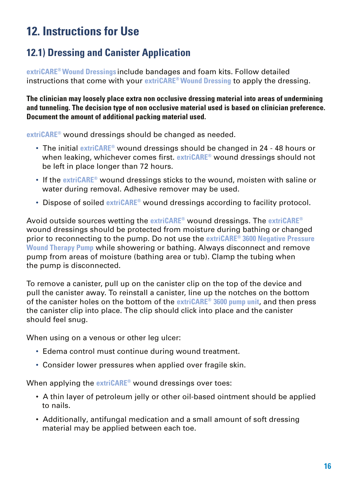## **12. Instructions for Use**

#### **12.1) Dressing and Canister Application**

**extriCARE®Wound Dressings** include bandages and foam kits. Follow detailed instructions that come with your **extriCARE® Wound Dressing** to apply the dressing.

**The clinician may loosely place extra non occlusive dressing material into areas of undermining and tunneling. The decision type of non occlusive material used is based on clinician preference. Document the amount of additional packing material used.**

**extriCARE®** wound dressings should be changed as needed.

- The initial **extriCARE®** wound dressings should be changed in 24 48 hours or when leaking, whichever comes first. **extriCARE®** wound dressings should not be left in place longer than 72 hours.
- If the **extriCARE®** wound dressings sticks to the wound, moisten with saline or water during removal. Adhesive remover may be used.
- Dispose of soiled **extriCARE®** wound dressings according to facility protocol.

Avoid outside sources wetting the **extriCARE®** wound dressings. The **extriCARE®** wound dressings should be protected from moisture during bathing or changed prior to reconnecting to the pump. Do not use the **extriCARE® 3600 Negative Pressure Wound Therapy Pump** while showering or bathing. Always disconnect and remove pump from areas of moisture (bathing area or tub). Clamp the tubing when the pump is disconnected.

To remove a canister, pull up on the canister clip on the top of the device and pull the canister away. To reinstall a canister, line up the notches on the bottom of the canister holes on the bottom of the **extriCARE® 3600 pump unit**, and then press the canister clip into place. The clip should click into place and the canister should feel snug.

When using on a venous or other leg ulcer:

- Edema control must continue during wound treatment.
- Consider lower pressures when applied over fragile skin.

When applying the **extriCARE®** wound dressings over toes:

- A thin layer of petroleum jelly or other oil-based ointment should be applied to nails.
- Additionally, antifungal medication and a small amount of soft dressing material may be applied between each toe.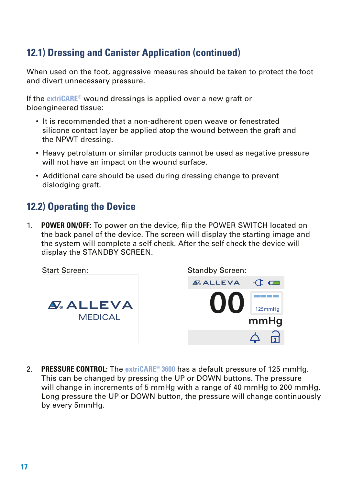#### **12.1) Dressing and Canister Application (continued)**

When used on the foot, aggressive measures should be taken to protect the foot and divert unnecessary pressure.

If the **extriCARE®** wound dressings is applied over a new graft or bioengineered tissue:

- It is recommended that a non-adherent open weave or fenestrated silicone contact layer be applied atop the wound between the graft and the NPWT dressing.
- Heavy petrolatum or similar products cannot be used as negative pressure will not have an impact on the wound surface.
- Additional care should be used during dressing change to prevent dislodging graft.

#### **12.2) Operating the Device**

1. **POWER ON/OFF**: To power on the device, flip the POWER SWITCH located on the back panel of the device. The screen will display the starting image and the system will complete a self check. After the self check the device will display the STANDBY SCREEN.



2. **PRESSURE CONTROL:** The **extriCARE® 3600** has a default pressure of 125 mmHg. This can be changed by pressing the UP or DOWN buttons. The pressure will change in increments of 5 mmHg with a range of 40 mmHg to 200 mmHg. Long pressure the UP or DOWN button, the pressure will change continuously by every 5mmHg.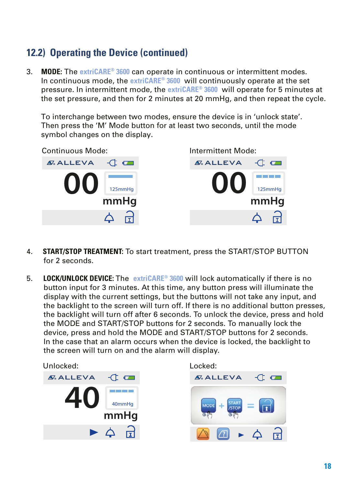### **12.2) Operating the Device (continued)**

3. **MODE:** The **extriCARE® 3600** can operate in continuous or intermittent modes. In continuous mode, the **extriCARE® 3600** will continuously operate at the set pressure. In intermittent mode, the **extriCARE® 3600** will operate for 5 minutes at the set pressure, and then for 2 minutes at 20 mmHg, and then repeat the cycle.

 To interchange between two modes, ensure the device is in 'unlock state'. Then press the 'M' Mode button for at least two seconds, until the mode symbol changes on the display.



- 4. **START/STOP TREATMENT:** To start treatment, press the START/STOP BUTTON for 2 seconds.
- 5. **LOCK/UNLOCK DEVICE:** The **extriCARE® 3600** will lock automatically if there is no button input for 3 minutes. At this time, any button press will illuminate the display with the current settings, but the buttons will not take any input, and the backlight to the screen will turn off. If there is no additional button presses, the backlight will turn off after 6 seconds. To unlock the device, press and hold the MODE and START/STOP buttons for 2 seconds. To manually lock the device, press and hold the MODE and START/STOP buttons for 2 seconds. In the case that an alarm occurs when the device is locked, the backlight to the screen will turn on and the alarm will display.



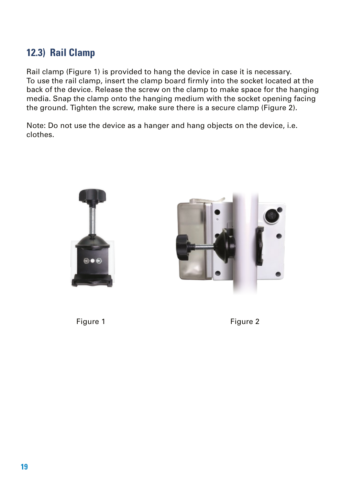### **12.3) Rail Clamp**

Rail clamp (Figure 1) is provided to hang the device in case it is necessary. To use the rail clamp, insert the clamp board firmly into the socket located at the back of the device. Release the screw on the clamp to make space for the hanging media. Snap the clamp onto the hanging medium with the socket opening facing the ground. Tighten the screw, make sure there is a secure clamp (Figure 2).

Note: Do not use the device as a hanger and hang objects on the device, i.e. clothes.





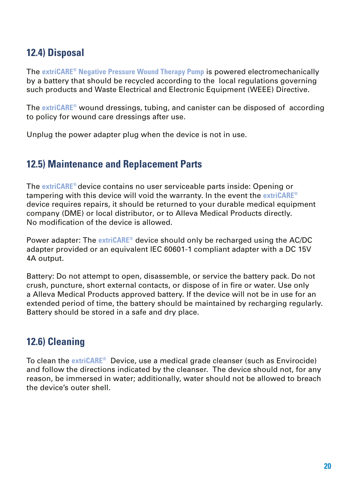### **12.4) Disposal**

The **extriCARE® Negative Pressure Wound Therapy Pump** is powered electromechanically by a battery that should be recycled according to the local regulations governing such products and Waste Electrical and Electronic Equipment (WEEE) Directive.

The **extriCARE®** wound dressings, tubing, and canister can be disposed of according to policy for wound care dressings after use.

Unplug the power adapter plug when the device is not in use.

#### **12.5) Maintenance and Replacement Parts**

The **extriCARE®** device contains no user serviceable parts inside: Opening or tampering with this device will void the warranty. In the event the **extriCARE®** device requires repairs, it should be returned to your durable medical equipment company (DME) or local distributor, or to Alleva Medical Products directly. No modification of the device is allowed.

Power adapter: The **extriCARE®** device should only be recharged using the AC/DC adapter provided or an equivalent IEC 60601-1 compliant adapter with a DC 15V 4A output.

Battery: Do not attempt to open, disassemble, or service the battery pack. Do not crush, puncture, short external contacts, or dispose of in fire or water. Use only a Alleva Medical Products approved battery. If the device will not be in use for an extended period of time, the battery should be maintained by recharging regularly. Battery should be stored in a safe and dry place.

#### **12.6) Cleaning**

To clean the **extriCARE®** Device, use a medical grade cleanser (such as Envirocide) and follow the directions indicated by the cleanser. The device should not, for any reason, be immersed in water; additionally, water should not be allowed to breach the device's outer shell.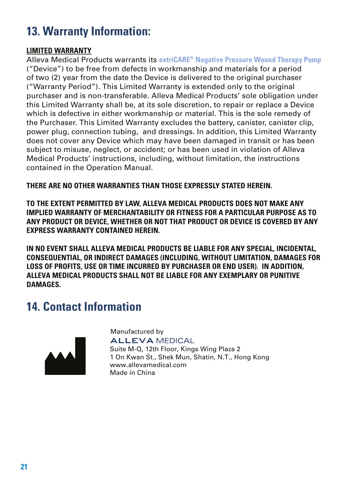## **13. Warranty Information:**

#### **LIMITED WARRANTY**

Alleva Medical Products warrants its **extriCARE® Negative Pressure Wound Therapy Pump** ("Device") to be free from defects in workmanship and materials for a period of two (2) year from the date the Device is delivered to the original purchaser ("Warranty Period"). This Limited Warranty is extended only to the original purchaser and is non-transferable. Alleva Medical Products' sole obligation under this Limited Warranty shall be, at its sole discretion, to repair or replace a Device which is defective in either workmanship or material. This is the sole remedy of the Purchaser. This Limited Warranty excludes the battery, canister, canister clip, power plug, connection tubing, and dressings. In addition, this Limited Warranty does not cover any Device which may have been damaged in transit or has been subject to misuse, neglect, or accident; or has been used in violation of Alleva Medical Products' instructions, including, without limitation, the instructions contained in the Operation Manual.

#### **THERE ARE NO OTHER WARRANTIES THAN THOSE EXPRESSLY STATED HEREIN.**

**TO THE EXTENT PERMITTED BY LAW, ALLEVA MEDICAL PRODUCTS DOES NOT MAKE ANY IMPLIED WARRANTY OF MERCHANTABILITY OR FITNESS FOR A PARTICULAR PURPOSE AS TO ANY PRODUCT OR DEVICE, WHETHER OR NOT THAT PRODUCT OR DEVICE IS COVERED BY ANY EXPRESS WARRANTY CONTAINED HEREIN.**

**IN NO EVENT SHALL ALLEVA MEDICAL PRODUCTS BE LIABLE FOR ANY SPECIAL, INCIDENTAL, CONSEQUENTIAL, OR INDIRECT DAMAGES (INCLUDING, WITHOUT LIMITATION, DAMAGES FOR LOSS OF PROFITS, USE OR TIME INCURRED BY PURCHASER OR END USER). IN ADDITION, ALLEVA MEDICAL PRODUCTS SHALL NOT BE LIABLE FOR ANY EXEMPLARY OR PUNITIVE DAMAGES.**

## **14. Contact Information**



Manufactured by **ALLEVA MEDICAL** Suite M-Q, 12th Floor, Kings Wing Plaza 2 1 On Kwan St., Shek Mun, Shatin, N.T., Hong Kong www.allevamedical.com Made in China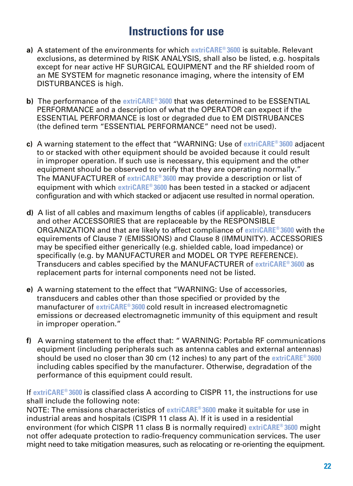## **Instructions for use**

- **a)** A statement of the environments for which **extriCARE® 3600** is suitable. Relevant exclusions, as determined by RISK ANALYSIS, shall also be listed, e.g. hospitals except for near active HF SURGICAL EQUIPMENT and the RF shielded room of an ME SYSTEM for magnetic resonance imaging, where the intensity of EM DISTURBANCES is high.
- **b)** The performance of the **extriCARE® 3600** that was determined to be ESSENTIAL PERFORMANCE and a description of what the OPERATOR can expect if the ESSENTIAL PERFORMANCE is lost or degraded due to EM DISTRUBANCES (the defined term "ESSENTIAL PERFORMANCE" need not be used).
- **c)** A warning statement to the effect that "WARNING: Use of **extriCARE® 3600** adjacent to or stacked with other equipment should be avoided because it could result in improper operation. If such use is necessary, this equipment and the other equipment should be observed to verify that they are operating normally." The MANUFACTURER of **extriCARE® 3600** may provide a description or list of equipment with which **extriCARE® 3600** has been tested in a stacked or adjacent configuration and with which stacked or adjacent use resulted in normal operation.
- **d)** A list of all cables and maximum lengths of cables (if applicable), transducers and other ACCESSORIES that are replaceable by the RESPONSIBLE ORGANIZATION and that are likely to affect compliance of **extriCARE® 3600** with the equirements of Clause 7 (EMISSIONS) and Clause 8 (IMMUNITY). ACCESSORIES may be specified either generically (e.g. shielded cable, load impedance) or specifically (e.g. by MANUFACTURER and MODEL OR TYPE REFERENCE). Transducers and cables specified by the MANUFACTURER of **extriCARE® 3600** as replacement parts for internal components need not be listed.
- **e)** A warning statement to the effect that "WARNING: Use of accessories, transducers and cables other than those specified or provided by the manufacturer of **extriCARE® 3600** cold result in increased electromagnetic emissions or decreased electromagnetic immunity of this equipment and result in improper operation."
- **f)** A warning statement to the effect that: " WARNING: Portable RF communications equipment (including peripherals such as antenna cables and external antennas) should be used no closer than 30 cm (12 inches) to any part of the **extriCARE® 3600** including cables specified by the manufacturer. Otherwise, degradation of the performance of this equipment could result.

If **extriCARE® 3600** is classified class A according to CISPR 11, the instructions for use shall include the following note:

NOTE: The emissions characteristics of **extriCARE® 3600** make it suitable for use in industrial areas and hospitals (CISPR 11 class A). If it is used in a residential environment (for which CISPR 11 class B is normally required) **extriCARE® 3600** might not offer adequate protection to radio-frequency communication services. The user might need to take mitigation measures, such as relocating or re-orienting the equipment.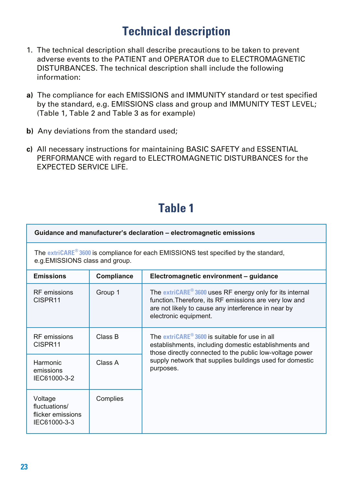## **Technical description**

- 1. The technical description shall describe precautions to be taken to prevent adverse events to the PATIENT and OPERATOR due to ELECTROMAGNETIC DISTURBANCES. The technical description shall include the following information:
- **a)** The compliance for each EMISSIONS and IMMUNITY standard or test specified by the standard, e.g. EMISSIONS class and group and IMMUNITY TEST LEVEL; (Table 1, Table 2 and Table 3 as for example)
- **b)** Any deviations from the standard used;
- **c)** All necessary instructions for maintaining BASIC SAFETY and ESSENTIAL PERFORMANCE with regard to ELECTROMAGNETIC DISTURBANCES for the EXPECTED SERVICE LIFE.

## **Table 1**

| Guidance and manufacturer's declaration – electromagnetic emissions                                                                 |                                                      |                                                                                                                                                                                                                |  |  |  |  |
|-------------------------------------------------------------------------------------------------------------------------------------|------------------------------------------------------|----------------------------------------------------------------------------------------------------------------------------------------------------------------------------------------------------------------|--|--|--|--|
| The extriCARE <sup>®</sup> 3600 is compliance for each EMISSIONS test specified by the standard,<br>e.g. EMISSIONS class and group. |                                                      |                                                                                                                                                                                                                |  |  |  |  |
| <b>Emissions</b>                                                                                                                    | Electromagnetic environment - guidance<br>Compliance |                                                                                                                                                                                                                |  |  |  |  |
| RF emissions<br>CISPR11                                                                                                             | Group 1                                              | The extriCARE <sup>®</sup> 3600 uses RF energy only for its internal<br>function. Therefore, its RF emissions are very low and<br>are not likely to cause any interference in near by<br>electronic equipment. |  |  |  |  |
| RF emissions<br>CISPR11                                                                                                             | Class B                                              | The extriCARE <sup>®</sup> 3600 is suitable for use in all<br>establishments, including domestic establishments and<br>those directly connected to the public low-voltage power                                |  |  |  |  |
| Harmonic<br>emissions<br>IEC61000-3-2                                                                                               | Class A                                              | supply network that supplies buildings used for domestic<br>purposes.                                                                                                                                          |  |  |  |  |
| Voltage<br>fluctuations/<br>flicker emissions<br>IEC61000-3-3                                                                       | Complies                                             |                                                                                                                                                                                                                |  |  |  |  |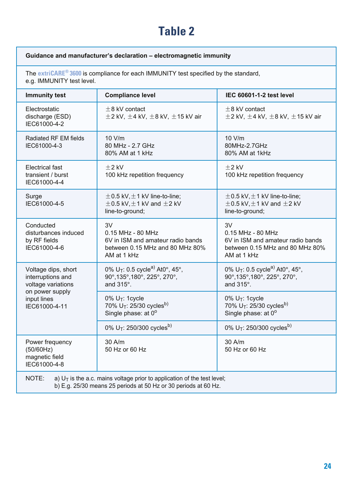## **Table 2**

#### **Guidance and manufacturer's declaration – electromagnetic immunity**

The **extriCARE® 3600** is compliance for each IMMUNITY test specified by the standard, e.g. IMMUNITY test level.

| <b>Immunity test</b>                                                                                                                                   | <b>Compliance level</b>                                                                                           | IEC 60601-1-2 test level                                                                                         |  |  |  |  |
|--------------------------------------------------------------------------------------------------------------------------------------------------------|-------------------------------------------------------------------------------------------------------------------|------------------------------------------------------------------------------------------------------------------|--|--|--|--|
| Electrostatic<br>discharge (ESD)<br>IEC61000-4-2                                                                                                       | $±8$ kV contact<br>$\pm$ 2 kV, $\pm$ 4 kV, $\pm$ 8 kV, $\pm$ 15 kV air                                            | $\pm$ 8 kV contact<br>$\pm$ 2 kV, $\pm$ 4 kV, $\pm$ 8 kV, $\pm$ 15 kV air                                        |  |  |  |  |
| Radiated RF EM fields<br>IEC61000-4-3                                                                                                                  | 10 V/m<br>80 MHz - 2.7 GHz<br>80% AM at 1 kHz                                                                     | 10 V/m<br>80MHz-2.7GHz<br>80% AM at 1kHz                                                                         |  |  |  |  |
| Electrical fast<br>transient / burst<br>IEC61000-4-4                                                                                                   | $+2$ kV<br>100 kHz repetition frequency                                                                           | $+2$ kV<br>100 kHz repetition frequency                                                                          |  |  |  |  |
| Surge<br>IEC61000-4-5                                                                                                                                  | $\pm$ 0.5 kV, $\pm$ 1 kV line-to-line;<br>$\pm$ 0.5 kV, $\pm$ 1 kV and $\pm$ 2 kV<br>line-to-ground;              | $\pm$ 0.5 kV, $\pm$ 1 kV line-to-line;<br>$\pm$ 0.5 kV, $\pm$ 1 kV and $\pm$ 2 kV<br>line-to-ground;             |  |  |  |  |
| Conducted<br>disturbances induced<br>by RF fields<br>IEC61000-4-6                                                                                      | 3V<br>$0.15$ MHz - 80 MHz<br>6V in ISM and amateur radio bands<br>between 0.15 MHz and 80 MHz 80%<br>AM at 1 kHz  | 3V<br>$0.15$ MHz - 80 MHz<br>6V in ISM and amateur radio bands<br>between 0.15 MHz and 80 MHz 80%<br>AM at 1 kHz |  |  |  |  |
| Voltage dips, short<br>interruptions and<br>voltage variations                                                                                         | 0% U <sub>T</sub> : 0.5 cycle <sup>a)</sup> At0°, 45°,<br>90°, 135°, 180°, 225°, 270°,<br>and $315^\circ$ .       | 0% U <sub>T</sub> : 0.5 cycle <sup>a)</sup> At0°, 45°,<br>90°,135°,180°, 225°, 270°,<br>and $315^\circ$ .        |  |  |  |  |
| on power supply<br>input lines<br>IEC61000-4-11                                                                                                        | $0\%$ U <sub>T</sub> : 1 cycle<br>70% U <sub>T</sub> : 25/30 cycles <sup>b)</sup><br>Single phase: at $0^{\circ}$ | $0\%$ U <sub>T</sub> : 1 cycle<br>70% U <sub>T</sub> : 25/30 cycles <sup>b)</sup><br>Single phase: at 0°         |  |  |  |  |
|                                                                                                                                                        | 0% U <sub>T</sub> : 250/300 cycles <sup>b)</sup>                                                                  | 0% U <sub>T</sub> : 250/300 cycles <sup>b)</sup>                                                                 |  |  |  |  |
| Power frequency<br>(50/60Hz)<br>magnetic field<br>IEC61000-4-8                                                                                         | 30 A/m<br>50 Hz or 60 Hz                                                                                          | 30 A/m<br>50 Hz or 60 Hz                                                                                         |  |  |  |  |
| a) $U_T$ is the a.c. mains voltage prior to application of the test level;<br>NOTE:<br>b) E.g. 25/30 means 25 periods at 50 Hz or 30 periods at 60 Hz. |                                                                                                                   |                                                                                                                  |  |  |  |  |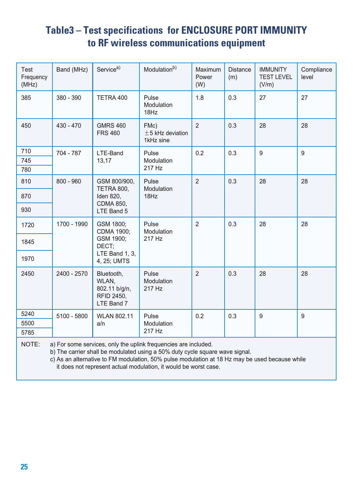### **Table3 – Test specifications for ENCLOSURE PORT IMMUNITY to RF wireless communications equipment**

| Test<br>Frequency<br>(MHz)                                                                                                                                                                                                                                  | Band (MHz)  | Service <sup>a)</sup>                                            | Modulation <sup>b)</sup>                   | Maximum<br>Power<br>(W) | <b>Distance</b><br>(m) | <b>IMMUNITY</b><br><b>TEST LEVEL</b><br>(V/m) | Compliance<br>level |
|-------------------------------------------------------------------------------------------------------------------------------------------------------------------------------------------------------------------------------------------------------------|-------------|------------------------------------------------------------------|--------------------------------------------|-------------------------|------------------------|-----------------------------------------------|---------------------|
| 385                                                                                                                                                                                                                                                         | 380 - 390   | TETRA 400                                                        | Pulse<br>Modulation<br>18Hz                | 1.8                     | 0.3                    | 27                                            | 27                  |
| 450                                                                                                                                                                                                                                                         | $430 - 470$ | <b>GMRS 460</b><br><b>FRS 460</b>                                | FMc)<br>$\pm$ 5 kHz deviation<br>1kHz sine | 2                       | 0.3                    | 28                                            | 28                  |
| 710                                                                                                                                                                                                                                                         | 704 - 787   | LTE-Band                                                         | Pulse                                      | 0.2                     | 0.3                    | 9                                             | 9                   |
| 745                                                                                                                                                                                                                                                         |             | 13,17                                                            | Modulation                                 |                         |                        |                                               |                     |
| 780                                                                                                                                                                                                                                                         |             |                                                                  | 217 Hz                                     |                         |                        |                                               |                     |
| 810                                                                                                                                                                                                                                                         | $800 - 960$ | GSM 800/900,                                                     | Pulse<br>TETRA 800.<br>Modulation<br>18Hz  | 2                       | 0.3                    | 28                                            | 28                  |
| 870                                                                                                                                                                                                                                                         |             | Iden 820,                                                        |                                            |                         |                        |                                               |                     |
| 930                                                                                                                                                                                                                                                         |             | CDMA 850,<br>LTE Band 5                                          |                                            |                         |                        |                                               |                     |
| 1720                                                                                                                                                                                                                                                        | 1700 - 1990 | GSM 1800;<br>CDMA 1900:                                          | Pulse<br>Modulation                        | $\overline{2}$          | 0.3                    | 28                                            | 28                  |
| 1845                                                                                                                                                                                                                                                        |             | GSM 1900;<br>DECT:                                               | 217 Hz                                     |                         |                        |                                               |                     |
| 1970                                                                                                                                                                                                                                                        |             | LTE Band 1, 3,<br>4, 25; UMTS                                    |                                            |                         |                        |                                               |                     |
| 2450                                                                                                                                                                                                                                                        | 2400 - 2570 | Bluetooth,<br>WLAN,<br>802.11 b/g/n,<br>RFID 2450,<br>LTE Band 7 | Pulse<br>Modulation<br>217 Hz              | $\overline{2}$          | 0.3                    | 28                                            | 28                  |
| 5240                                                                                                                                                                                                                                                        | 5100 - 5800 | <b>WLAN 802.11</b>                                               | Pulse                                      | 0.2                     | 0.3                    | 9                                             | 9                   |
| 5500                                                                                                                                                                                                                                                        |             | a/n                                                              | Modulation                                 |                         |                        |                                               |                     |
| 5785                                                                                                                                                                                                                                                        |             |                                                                  | 217 Hz                                     |                         |                        |                                               |                     |
| a) For some services, only the uplink frequencies are included.<br>NOTE:<br>b) The carrier shall be modulated using a 50% duty cycle square wave signal.<br>a) As an elternative to EM modulation. EON pulse modulation of 40 University used because while |             |                                                                  |                                            |                         |                        |                                               |                     |

c) As an alternative to FM modulation, 50% pulse modulation at 18 Hz may be used because while it does not represent actual modulation, it would be worst case.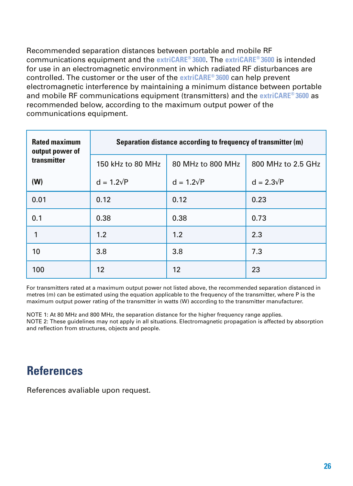Recommended separation distances between portable and mobile RF communications equipment and the **extriCARE® 3600**. The **extriCARE® 3600** is intended for use in an electromagnetic environment in which radiated RF disturbances are controlled. The customer or the user of the **extriCARE® 3600** can help prevent electromagnetic interference by maintaining a minimum distance between portable and mobile RF communications equipment (transmitters) and the **extriCARE® 3600** as recommended below, according to the maximum output power of the communications equipment.

| <b>Rated maximum</b><br>output power of | Separation distance according to frequency of transmitter (m) |                   |                    |  |  |
|-----------------------------------------|---------------------------------------------------------------|-------------------|--------------------|--|--|
| transmitter                             | 150 kHz to 80 MHz<br>80 MHz to 800 MHz                        |                   | 800 MHz to 2.5 GHz |  |  |
| (W)                                     | $d = 1.2\sqrt{P}$                                             | $d = 1.2\sqrt{P}$ | $d = 2.3\sqrt{P}$  |  |  |
| 0.01                                    | 0.12                                                          | 0.12              | 0.23               |  |  |
| 0.1                                     | 0.38                                                          | 0.38              | 0.73               |  |  |
|                                         | 1.2                                                           | 1.2               | 2.3                |  |  |
| 10                                      | 3.8                                                           | 3.8               | 7.3                |  |  |
| 100                                     | 12                                                            | 12                | 23                 |  |  |

For transmitters rated at a maximum output power not listed above, the recommended separation distanced in metres (m) can be estimated using the equation applicable to the frequency of the transmitter, where P is the maximum output power rating of the transmitter in watts (W) according to the transmitter manufacturer.

NOTE 1: At 80 MHz and 800 MHz, the separation distance for the higher frequency range applies. NOTE 2: These guidelines may not apply in all situations. Electromagnetic propagation is affected by absorption and reflection from structures, objects and people.

## **References**

References avaliable upon request.